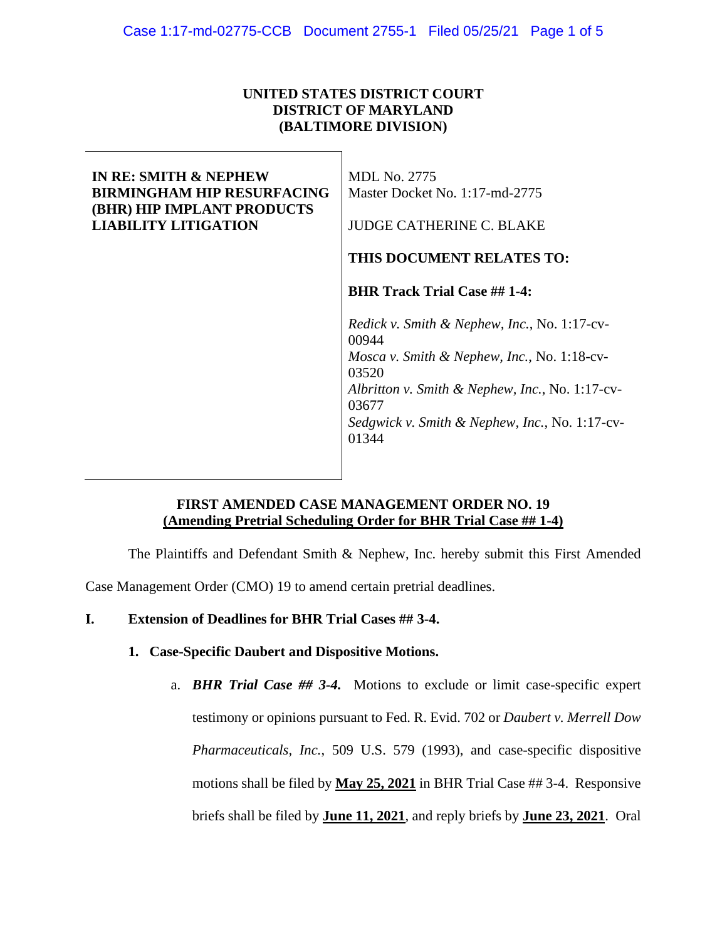## **UNITED STATES DISTRICT COURT DISTRICT OF MARYLAND (BALTIMORE DIVISION)**

| <b>IN RE: SMITH &amp; NEPHEW</b><br><b>BIRMINGHAM HIP RESURFACING</b><br>(BHR) HIP IMPLANT PRODUCTS | <b>MDL No. 2775</b><br>Master Docket No. 1:17-md-2775    |
|-----------------------------------------------------------------------------------------------------|----------------------------------------------------------|
| <b>LIABILITY LITIGATION</b>                                                                         | <b>JUDGE CATHERINE C. BLAKE</b>                          |
|                                                                                                     | THIS DOCUMENT RELATES TO:                                |
|                                                                                                     | <b>BHR Track Trial Case ## 1-4:</b>                      |
|                                                                                                     | Redick v. Smith & Nephew, Inc., No. 1:17-cv-<br>00944    |
|                                                                                                     | Mosca v. Smith & Nephew, Inc., No. 1:18-cv-<br>03520     |
|                                                                                                     | Albritton v. Smith & Nephew, Inc., No. 1:17-cv-<br>03677 |
|                                                                                                     | Sedgwick v. Smith & Nephew, Inc., No. 1:17-cv-<br>01344  |
|                                                                                                     |                                                          |

# **FIRST AMENDED CASE MANAGEMENT ORDER NO. 19 (Amending Pretrial Scheduling Order for BHR Trial Case ## 1-4)**

The Plaintiffs and Defendant Smith & Nephew, Inc. hereby submit this First Amended

Case Management Order (CMO) 19 to amend certain pretrial deadlines.

## **I. Extension of Deadlines for BHR Trial Cases ## 3-4.**

- **1. Case-Specific Daubert and Dispositive Motions.**
	- a. *BHR Trial Case ## 3-4.* Motions to exclude or limit case-specific expert testimony or opinions pursuant to Fed. R. Evid. 702 or *Daubert v. Merrell Dow Pharmaceuticals, Inc.*, 509 U.S. 579 (1993), and case-specific dispositive motions shall be filed by **May 25, 2021** in BHR Trial Case ## 3-4. Responsive briefs shall be filed by **June 11, 2021**, and reply briefs by **June 23, 2021**. Oral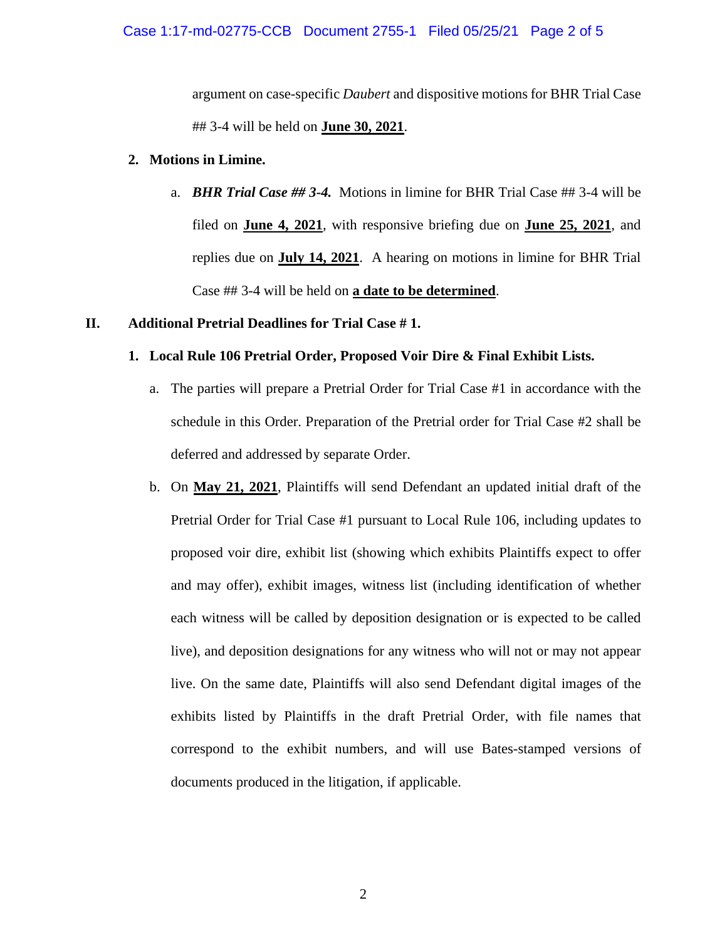#### Case 1:17-md-02775-CCB Document 2755-1 Filed 05/25/21 Page 2 of 5

argument on case-specific *Daubert* and dispositive motions for BHR Trial Case ## 3-4 will be held on **June 30, 2021**.

#### **2. Motions in Limine.**

a. *BHR Trial Case ## 3-4.* Motions in limine for BHR Trial Case ## 3-4 will be filed on **June 4, 2021**, with responsive briefing due on **June 25, 2021**, and replies due on **July 14, 2021**. A hearing on motions in limine for BHR Trial Case ## 3-4 will be held on **a date to be determined**.

#### **II. Additional Pretrial Deadlines for Trial Case # 1.**

### **1. Local Rule 106 Pretrial Order, Proposed Voir Dire & Final Exhibit Lists.**

- a. The parties will prepare a Pretrial Order for Trial Case #1 in accordance with the schedule in this Order. Preparation of the Pretrial order for Trial Case #2 shall be deferred and addressed by separate Order.
- b. On **May 21, 2021**, Plaintiffs will send Defendant an updated initial draft of the Pretrial Order for Trial Case #1 pursuant to Local Rule 106, including updates to proposed voir dire, exhibit list (showing which exhibits Plaintiffs expect to offer and may offer), exhibit images, witness list (including identification of whether each witness will be called by deposition designation or is expected to be called live), and deposition designations for any witness who will not or may not appear live. On the same date, Plaintiffs will also send Defendant digital images of the exhibits listed by Plaintiffs in the draft Pretrial Order, with file names that correspond to the exhibit numbers, and will use Bates-stamped versions of documents produced in the litigation, if applicable.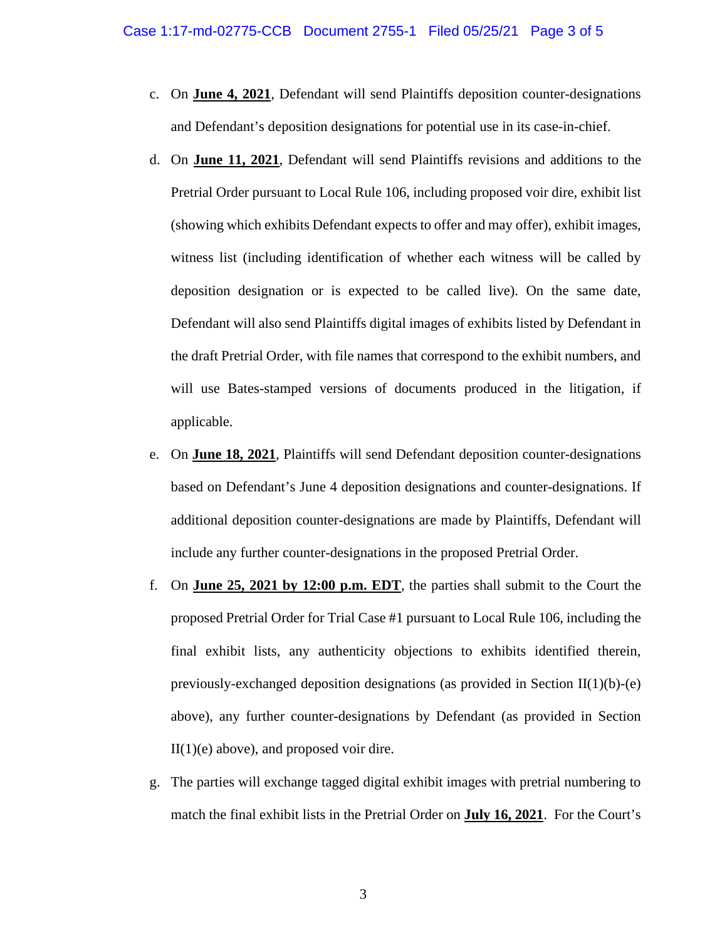- c. On **June 4, 2021**, Defendant will send Plaintiffs deposition counter-designations and Defendant's deposition designations for potential use in its case-in-chief.
- d. On **June 11, 2021**, Defendant will send Plaintiffs revisions and additions to the Pretrial Order pursuant to Local Rule 106, including proposed voir dire, exhibit list (showing which exhibits Defendant expects to offer and may offer), exhibit images, witness list (including identification of whether each witness will be called by deposition designation or is expected to be called live). On the same date, Defendant will also send Plaintiffs digital images of exhibits listed by Defendant in the draft Pretrial Order, with file names that correspond to the exhibit numbers, and will use Bates-stamped versions of documents produced in the litigation, if applicable.
- e. On **June 18, 2021**, Plaintiffs will send Defendant deposition counter-designations based on Defendant's June 4 deposition designations and counter-designations. If additional deposition counter-designations are made by Plaintiffs, Defendant will include any further counter-designations in the proposed Pretrial Order.
- f. On **June 25, 2021 by 12:00 p.m. EDT**, the parties shall submit to the Court the proposed Pretrial Order for Trial Case #1 pursuant to Local Rule 106, including the final exhibit lists, any authenticity objections to exhibits identified therein, previously-exchanged deposition designations (as provided in Section II(1)(b)-(e) above), any further counter-designations by Defendant (as provided in Section  $II(1)(e)$  above), and proposed voir dire.
- g. The parties will exchange tagged digital exhibit images with pretrial numbering to match the final exhibit lists in the Pretrial Order on **July 16, 2021**. For the Court's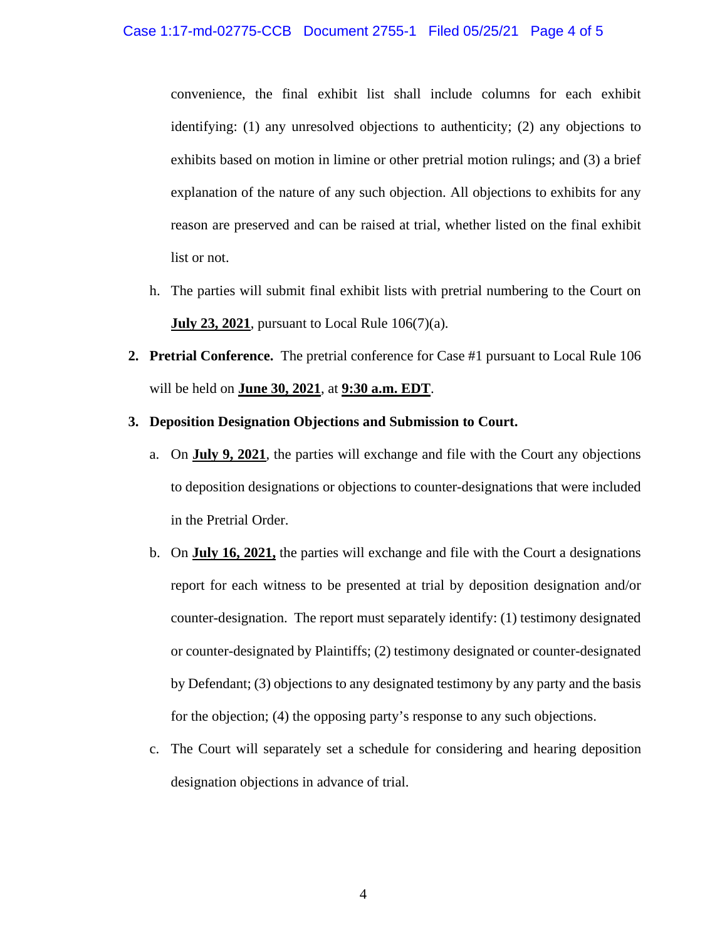convenience, the final exhibit list shall include columns for each exhibit identifying: (1) any unresolved objections to authenticity; (2) any objections to exhibits based on motion in limine or other pretrial motion rulings; and (3) a brief explanation of the nature of any such objection. All objections to exhibits for any reason are preserved and can be raised at trial, whether listed on the final exhibit list or not.

- h. The parties will submit final exhibit lists with pretrial numbering to the Court on **July 23, 2021**, pursuant to Local Rule 106(7)(a).
- **2. Pretrial Conference.** The pretrial conference for Case #1 pursuant to Local Rule 106 will be held on **June 30, 2021**, at **9:30 a.m. EDT**.
- **3. Deposition Designation Objections and Submission to Court.** 
	- a. On **July 9, 2021**, the parties will exchange and file with the Court any objections to deposition designations or objections to counter-designations that were included in the Pretrial Order.
	- b. On **July 16, 2021,** the parties will exchange and file with the Court a designations report for each witness to be presented at trial by deposition designation and/or counter-designation. The report must separately identify: (1) testimony designated or counter-designated by Plaintiffs; (2) testimony designated or counter-designated by Defendant; (3) objections to any designated testimony by any party and the basis for the objection; (4) the opposing party's response to any such objections.
	- c. The Court will separately set a schedule for considering and hearing deposition designation objections in advance of trial.